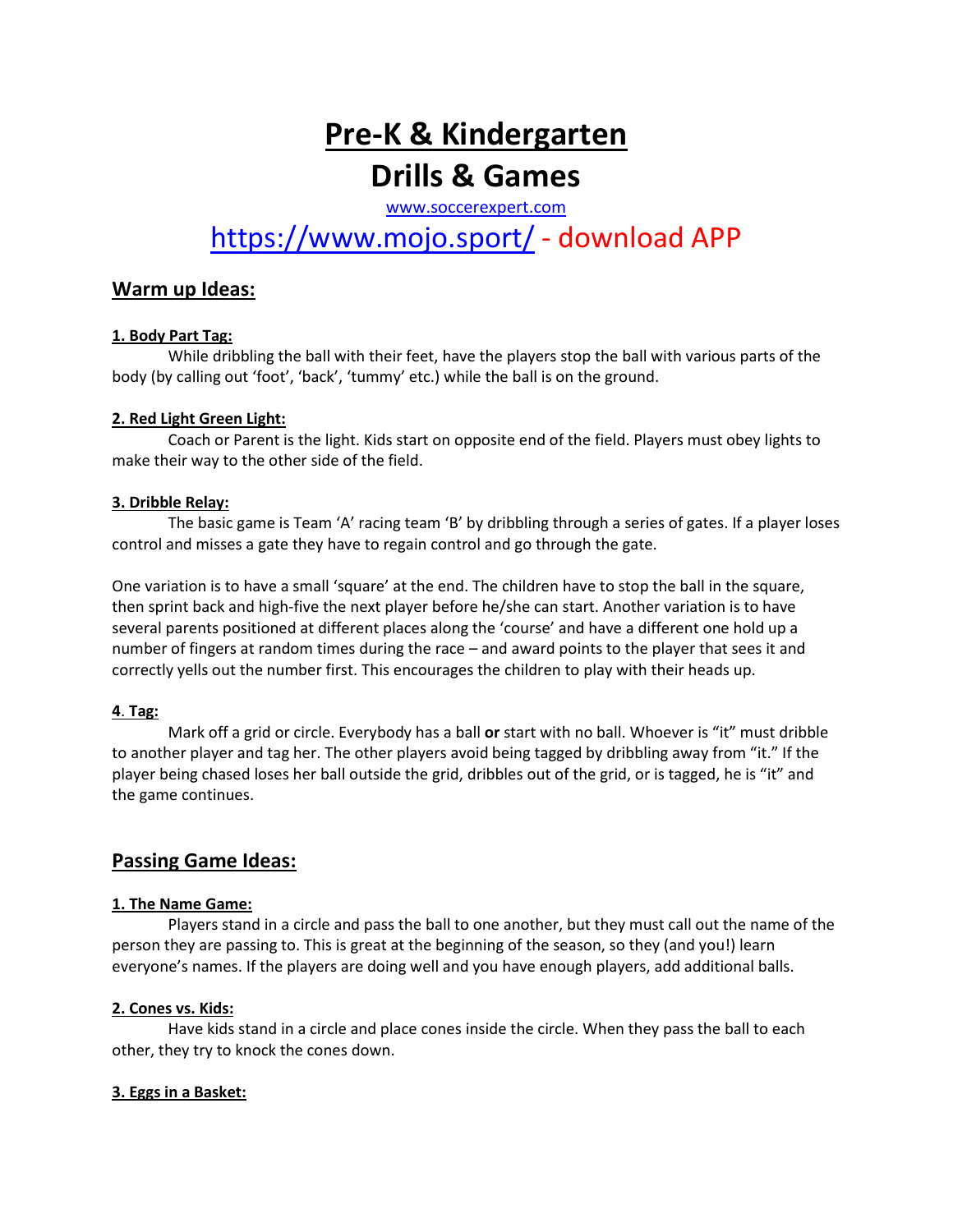# **Pre-K & Kindergarten Drills & Games**

[www.soccerexpert.com](http://www.soccerexpert.com/)

# <https://www.mojo.sport/> - download APP

## **Warm up Ideas:**

#### **1. Body Part Tag:**

While dribbling the ball with their feet, have the players stop the ball with various parts of the body (by calling out 'foot', 'back', 'tummy' etc.) while the ball is on the ground.

#### **2. Red Light Green Light:**

Coach or Parent is the light. Kids start on opposite end of the field. Players must obey lights to make their way to the other side of the field.

#### **3. Dribble Relay:**

The basic game is Team 'A' racing team 'B' by dribbling through a series of gates. If a player loses control and misses a gate they have to regain control and go through the gate.

One variation is to have a small 'square' at the end. The children have to stop the ball in the square, then sprint back and high-five the next player before he/she can start. Another variation is to have several parents positioned at different places along the 'course' and have a different one hold up a number of fingers at random times during the race – and award points to the player that sees it and correctly yells out the number first. This encourages the children to play with their heads up.

#### **4**. **Tag:**

Mark off a grid or circle. Everybody has a ball **or** start with no ball. Whoever is "it" must dribble to another player and tag her. The other players avoid being tagged by dribbling away from "it." If the player being chased loses her ball outside the grid, dribbles out of the grid, or is tagged, he is "it" and the game continues.

### **Passing Game Ideas:**

#### **1. The Name Game:**

Players stand in a circle and pass the ball to one another, but they must call out the name of the person they are passing to. This is great at the beginning of the season, so they (and you!) learn everyone's names. If the players are doing well and you have enough players, add additional balls.

#### **2. Cones vs. Kids:**

Have kids stand in a circle and place cones inside the circle. When they pass the ball to each other, they try to knock the cones down.

#### **3. Eggs in a Basket:**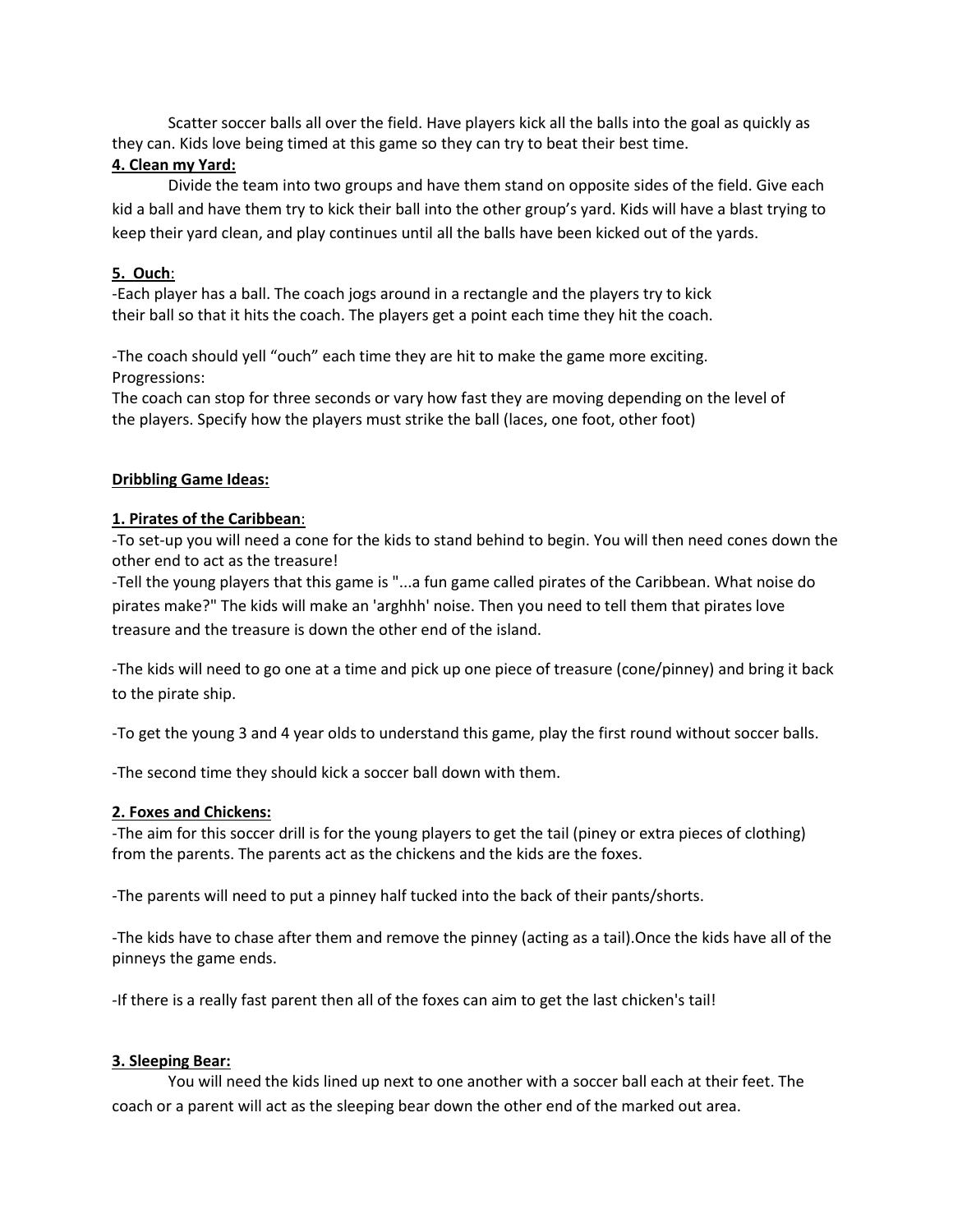Scatter soccer balls all over the field. Have players kick all the balls into the goal as quickly as they can. Kids love being timed at this game so they can try to beat their best time.

#### **4. Clean my Yard:**

Divide the team into two groups and have them stand on opposite sides of the field. Give each kid a ball and have them try to kick their ball into the other group's yard. Kids will have a blast trying to keep their yard clean, and play continues until all the balls have been kicked out of the yards.

#### **5. Ouch**:

-Each player has a ball. The coach jogs around in a rectangle and the players try to kick their ball so that it hits the coach. The players get a point each time they hit the coach.

-The coach should yell "ouch" each time they are hit to make the game more exciting. Progressions:

The coach can stop for three seconds or vary how fast they are moving depending on the level of the players. Specify how the players must strike the ball (laces, one foot, other foot)

#### **Dribbling Game Ideas:**

#### **1. Pirates of the Caribbean**:

-To set-up you will need a cone for the kids to stand behind to begin. You will then need cones down the other end to act as the treasure!

-Tell the young players that this game is "...a fun game called pirates of the Caribbean. What noise do pirates make?" The kids will make an 'arghhh' noise. Then you need to tell them that pirates love treasure and the treasure is down the other end of the island.

-The kids will need to go one at a time and pick up one piece of treasure (cone/pinney) and bring it back to the pirate ship.

-To get the young 3 and 4 year olds to understand this game, play the first round without soccer balls.

-The second time they should kick a soccer ball down with them.

#### **2. Foxes and Chickens:**

-The aim for this soccer drill is for the young players to get the tail (piney or extra pieces of clothing) from the parents. The parents act as the chickens and the kids are the foxes.

-The parents will need to put a pinney half tucked into the back of their pants/shorts.

-The kids have to chase after them and remove the pinney (acting as a tail).Once the kids have all of the pinneys the game ends.

-If there is a really fast parent then all of the foxes can aim to get the last chicken's tail!

#### **3. Sleeping Bear:**

You will need the kids lined up next to one another with a soccer ball each at their feet. The coach or a parent will act as the sleeping bear down the other end of the marked out area.